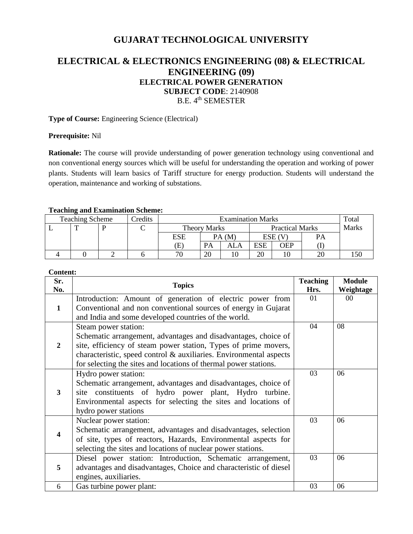# **GUJARAT TECHNOLOGICAL UNIVERSITY**

# **ELECTRICAL & ELECTRONICS ENGINEERING (08) & ELECTRICAL ENGINEERING (09) ELECTRICAL POWER GENERATION SUBJECT CODE**: 2140908 B.E. 4<sup>th</sup> SEMESTER

**Type of Course:** Engineering Science (Electrical)

#### **Prerequisite:** Nil

**Rationale:** The course will provide understanding of power generation technology using conventional and non conventional energy sources which will be useful for understanding the operation and working of power plants. Students will learn basics of Tariff structure for energy production. Students will understand the operation, maintenance and working of substations.

#### **Teaching and Examination Scheme:**

| <b>Teaching Scheme</b> |  |  | Credits | <b>Examination Marks</b> |    |                        |            |        | Total |  |
|------------------------|--|--|---------|--------------------------|----|------------------------|------------|--------|-------|--|
|                        |  |  |         | <b>Theory Marks</b>      |    | <b>Practical Marks</b> |            | Marks  |       |  |
|                        |  |  |         | ESE                      |    | PA(M)                  |            | ESE (V | PА    |  |
|                        |  |  |         | Œ)                       | PA |                        | <b>ESE</b> | OEP    |       |  |
|                        |  |  |         | 70                       | 20 |                        | 20         |        | 20    |  |

#### **Content:**

| Sr.<br>No.              | <b>Topics</b>                                                      | <b>Teaching</b><br>Hrs. | <b>Module</b><br>Weightage |
|-------------------------|--------------------------------------------------------------------|-------------------------|----------------------------|
|                         | Introduction: Amount of generation of electric power from          | 01                      | 00                         |
| 1                       | Conventional and non conventional sources of energy in Gujarat     |                         |                            |
|                         | and India and some developed countries of the world.               |                         |                            |
| $\mathbf{2}$            | Steam power station:                                               | 04                      | 08                         |
|                         | Schematic arrangement, advantages and disadvantages, choice of     |                         |                            |
|                         | site, efficiency of steam power station, Types of prime movers,    |                         |                            |
|                         | characteristic, speed control & auxiliaries. Environmental aspects |                         |                            |
|                         | for selecting the sites and locations of thermal power stations.   |                         |                            |
|                         | Hydro power station:                                               | 03                      | 06                         |
|                         | Schematic arrangement, advantages and disadvantages, choice of     |                         |                            |
| 3                       | site constituents of hydro power plant, Hydro turbine.             |                         |                            |
|                         | Environmental aspects for selecting the sites and locations of     |                         |                            |
|                         | hydro power stations                                               |                         |                            |
| $\overline{\mathbf{4}}$ | Nuclear power station:                                             | 03                      | 06                         |
|                         | Schematic arrangement, advantages and disadvantages, selection     |                         |                            |
|                         | of site, types of reactors, Hazards, Environmental aspects for     |                         |                            |
|                         | selecting the sites and locations of nuclear power stations.       |                         |                            |
| 5                       | Diesel power station: Introduction, Schematic arrangement,         | 03                      | 06                         |
|                         | advantages and disadvantages, Choice and characteristic of diesel  |                         |                            |
|                         | engines, auxiliaries.                                              |                         |                            |
| 6                       | Gas turbine power plant:                                           | 03                      | 06                         |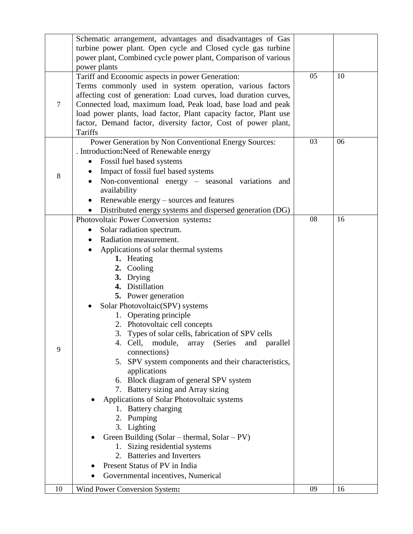|                | Schematic arrangement, advantages and disadvantages of Gas<br>turbine power plant. Open cycle and Closed cycle gas turbine<br>power plant, Combined cycle power plant, Comparison of various                                                                                                                                                                                                                                                                                                                                                                                                                                                                                                                                                                                                                                                                                                                   |    |    |
|----------------|----------------------------------------------------------------------------------------------------------------------------------------------------------------------------------------------------------------------------------------------------------------------------------------------------------------------------------------------------------------------------------------------------------------------------------------------------------------------------------------------------------------------------------------------------------------------------------------------------------------------------------------------------------------------------------------------------------------------------------------------------------------------------------------------------------------------------------------------------------------------------------------------------------------|----|----|
|                | power plants                                                                                                                                                                                                                                                                                                                                                                                                                                                                                                                                                                                                                                                                                                                                                                                                                                                                                                   |    |    |
| $\overline{7}$ | Tariff and Economic aspects in power Generation:<br>Terms commonly used in system operation, various factors<br>affecting cost of generation: Load curves, load duration curves,<br>Connected load, maximum load, Peak load, base load and peak<br>load power plants, load factor, Plant capacity factor, Plant use<br>factor, Demand factor, diversity factor, Cost of power plant,<br>Tariffs                                                                                                                                                                                                                                                                                                                                                                                                                                                                                                                | 05 | 10 |
| 8              | Power Generation by Non Conventional Energy Sources:<br>. Introduction: Need of Renewable energy<br>Fossil fuel based systems<br>٠<br>Impact of fossil fuel based systems<br>Non-conventional energy – seasonal variations and<br>availability<br>Renewable energy – sources and features<br>Distributed energy systems and dispersed generation (DG)                                                                                                                                                                                                                                                                                                                                                                                                                                                                                                                                                          | 03 | 06 |
| 9              | Photovoltaic Power Conversion systems:<br>Solar radiation spectrum.<br>$\bullet$<br>Radiation measurement.<br>Applications of solar thermal systems<br>1. Heating<br>2. Cooling<br>3. Drying<br>4. Distillation<br><b>5.</b> Power generation<br>Solar Photovoltaic(SPV) systems<br>1. Operating principle<br>2. Photovoltaic cell concepts<br>3. Types of solar cells, fabrication of SPV cells<br>4. Cell, module, array (Series and parallel<br>connections)<br>5. SPV system components and their characteristics,<br>applications<br>6. Block diagram of general SPV system<br>7. Battery sizing and Array sizing<br>Applications of Solar Photovoltaic systems<br>1. Battery charging<br>2. Pumping<br>3. Lighting<br>Green Building (Solar - thermal, Solar - PV)<br>1. Sizing residential systems<br>2. Batteries and Inverters<br>Present Status of PV in India<br>Governmental incentives, Numerical | 08 | 16 |
| 10             |                                                                                                                                                                                                                                                                                                                                                                                                                                                                                                                                                                                                                                                                                                                                                                                                                                                                                                                | 09 | 16 |
|                | Wind Power Conversion System:                                                                                                                                                                                                                                                                                                                                                                                                                                                                                                                                                                                                                                                                                                                                                                                                                                                                                  |    |    |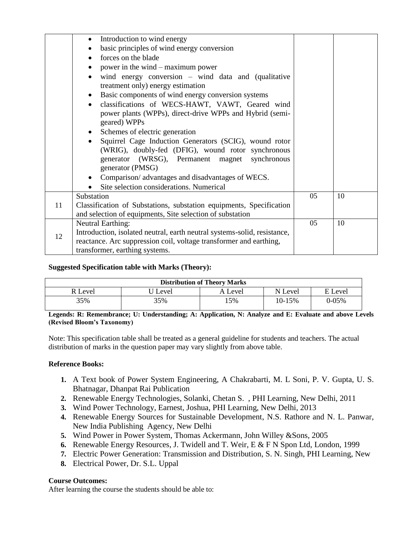|    | Introduction to wind energy<br>$\bullet$                                                                |    |    |
|----|---------------------------------------------------------------------------------------------------------|----|----|
|    | basic principles of wind energy conversion                                                              |    |    |
|    | forces on the blade<br>$\bullet$                                                                        |    |    |
|    | power in the wind – maximum power<br>$\bullet$                                                          |    |    |
|    | wind energy conversion $-$ wind data and (qualitative<br>$\bullet$<br>treatment only) energy estimation |    |    |
|    | Basic components of wind energy conversion systems                                                      |    |    |
|    | classifications of WECS-HAWT, VAWT, Geared wind<br>$\bullet$                                            |    |    |
|    | power plants (WPPs), direct-drive WPPs and Hybrid (semi-<br>geared) WPPs                                |    |    |
|    | Schemes of electric generation                                                                          |    |    |
|    | Squirrel Cage Induction Generators (SCIG), wound rotor<br>$\bullet$                                     |    |    |
|    | (WRIG), doubly-fed (DFIG), wound rotor synchronous                                                      |    |    |
|    | generator (WRSG), Permanent magnet synchronous                                                          |    |    |
|    | generator (PMSG)                                                                                        |    |    |
|    | Comparison/advantages and disadvantages of WECS.                                                        |    |    |
|    | Site selection considerations. Numerical                                                                |    |    |
| 11 | Substation                                                                                              | 05 | 10 |
|    | Classification of Substations, substation equipments, Specification                                     |    |    |
|    | and selection of equipments, Site selection of substation                                               |    |    |
| 12 | <b>Neutral Earthing:</b>                                                                                |    | 10 |
|    | Introduction, isolated neutral, earth neutral systems-solid, resistance,                                |    |    |
|    | reactance. Arc suppression coil, voltage transformer and earthing,                                      |    |    |
|    | transformer, earthing systems.                                                                          |    |    |

### **Suggested Specification table with Marks (Theory):**

| <b>Distribution of Theory Marks</b> |       |         |         |         |  |  |
|-------------------------------------|-------|---------|---------|---------|--|--|
| R Level                             | Level | A Level | N Level | E Level |  |  |
| 35%                                 | 35%   | .5%     | 10-15%  | 0-05%   |  |  |

**Legends: R: Remembrance; U: Understanding; A: Application, N: Analyze and E: Evaluate and above Levels (Revised Bloom's Taxonomy)**

Note: This specification table shall be treated as a general guideline for students and teachers. The actual distribution of marks in the question paper may vary slightly from above table.

#### **Reference Books:**

- **1.** A Text book of Power System Engineering, A Chakrabarti, M. L Soni, P. V. Gupta, U. S. Bhatnagar, Dhanpat Rai Publication
- **2.** Renewable Energy Technologies, Solanki, Chetan S. , PHI Learning, New Delhi, 2011
- **3.** Wind Power Technology, Earnest, Joshua, PHI Learning, New Delhi, 2013
- **4.** Renewable Energy Sources for Sustainable Development, N.S. Rathore and N. L. Panwar, New India Publishing Agency, New Delhi
- **5.** Wind Power in Power System, Thomas Ackermann, John Willey &Sons, 2005
- **6.** Renewable Energy Resources, J. Twidell and T. Weir, E & F N Spon Ltd, London, 1999
- **7.** [Electric Power Generation: Transmission and Distribution,](http://www.googleadservices.com/pagead/aclk?sa=L&ai=C-o4yK6plVOG4NNeouATI_IDYBJTju5QFzPPQhJ8B_M_k6fwBCAYQASgEYOXS5IOoDqABrOW61QPIAQeqBCNP0K4OdmbodVMg6SDR_NraZ738th_eUUOVwRKJUtWhQdIEfsAFBYgGAaAGJoAHvJrFKpAHA6gHpr4b4BKRiJS8vc6nragB&ohost=www.google.co.in&cid=5GiKUxOZLaizFYIK7f8AzBooJ3Lm-ZVjB6ATs2ca5aGmsVg&sig=AOD64_3LsQk0ixFpMjNH30OBoMmmz_lE-A&ctype=5&rct=j&q=&ved=0CIEBELsX&adurl=http://www.amazon.in/Electric-Power-Generation-Transmission-Distribution/dp/8120335600%3Ftag%3Dgooginhydr18418-21) S. N. Singh, PHI Learning, New
- **8.** Electrical Power, Dr. S.L. Uppal

### **Course Outcomes:**

After learning the course the students should be able to: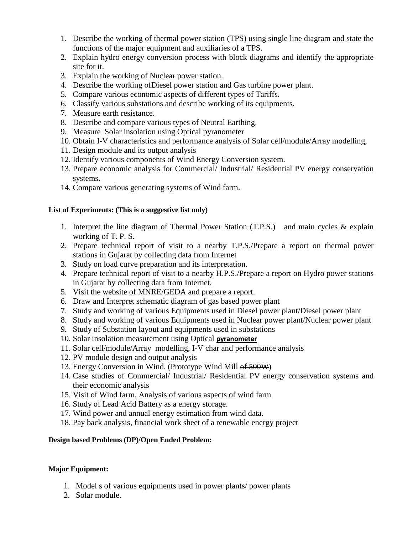- 1. Describe the working of thermal power station (TPS) using single line diagram and state the functions of the major equipment and auxiliaries of a TPS.
- 2. Explain hydro energy conversion process with block diagrams and identify the appropriate site for it.
- 3. Explain the working of Nuclear power station.
- 4. Describe the working ofDiesel power station and Gas turbine power plant.
- 5. Compare various economic aspects of different types of Tariffs.
- 6. Classify various substations and describe working of its equipments.
- 7. Measure earth resistance.
- 8. Describe and compare various types of Neutral Earthing.
- 9. Measure Solar insolation using Optical pyranometer
- 10. Obtain I-V characteristics and performance analysis of Solar cell/module/Array modelling,
- 11. Design module and its output analysis
- 12. Identify various components of Wind Energy Conversion system.
- 13. Prepare economic analysis for Commercial/ Industrial/ Residential PV energy conservation systems.
- 14. Compare various generating systems of Wind farm.

# **List of Experiments: (This is a suggestive list only)**

- 1. Interpret the line diagram of Thermal Power Station (T.P.S.) and main cycles & explain working of T. P. S.
- 2. Prepare technical report of visit to a nearby T.P.S./Prepare a report on thermal power stations in Gujarat by collecting data from Internet
- 3. Study on load curve preparation and its interpretation.
- 4. Prepare technical report of visit to a nearby H.P.S./Prepare a report on Hydro power stations in Gujarat by collecting data from Internet.
- 5. Visit the website of MNRE/GEDA and prepare a report.
- 6. Draw and Interpret schematic diagram of gas based power plant
- 7. Study and working of various Equipments used in Diesel power plant/Diesel power plant
- 8. Study and working of various Equipments used in Nuclear power plant/Nuclear power plant
- 9. Study of Substation layout and equipments used in substations
- 10. Solar insolation measurement using Optical **pyranometer**
- 11. Solar cell/module/Array modelling, I-V char and performance analysis
- 12. PV module design and output analysis
- 13. Energy Conversion in Wind. (Prototype Wind Mill of 500W)
- 14. Case studies of Commercial/ Industrial/ Residential PV energy conservation systems and their economic analysis
- 15. Visit of Wind farm. Analysis of various aspects of wind farm
- 16. Study of Lead Acid Battery as a energy storage.
- 17. Wind power and annual energy estimation from wind data.
- 18. Pay back analysis, financial work sheet of a renewable energy project

# **Design based Problems (DP)/Open Ended Problem:**

# **Major Equipment:**

- 1. Model s of various equipments used in power plants/ power plants
- 2. Solar module.